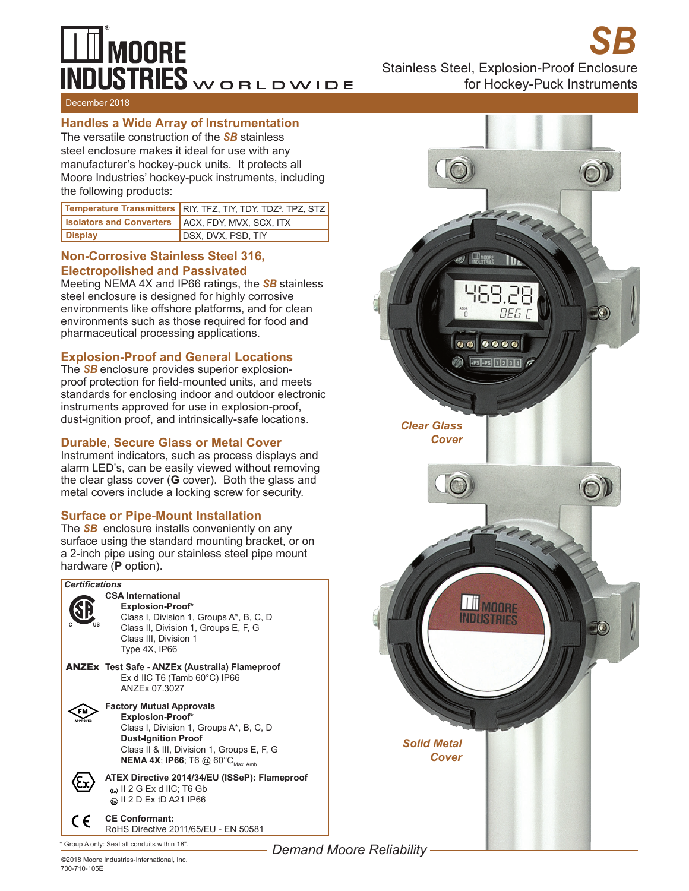# $\perp \!\!\! \perp$  moore  $\overline{\text{NDUSTRIES}}$ WORLDWIDE

*SB* Stainless Steel, Explosion-Proof Enclosure

for Hockey-Puck Instruments

#### December 2018

### **Handles a Wide Array of Instrumentation**

The versatile construction of the *SB* stainless steel enclosure makes it ideal for use with any manufacturer's hockey-puck units. It protects all Moore Industries' hockey-puck instruments, including the following products:

|                                                           | Temperature Transmitters RIY, TFZ, TIY, TDY, TDZ <sup>3</sup> , TPZ, STZ |
|-----------------------------------------------------------|--------------------------------------------------------------------------|
| <b>Isolators and Converters   ACX, FDY, MVX, SCX, ITX</b> |                                                                          |
| Display                                                   | DSX, DVX, PSD, TIY                                                       |

## **Non-Corrosive Stainless Steel 316, Electropolished and Passivated**

Meeting NEMA 4X and IP66 ratings, the *SB* stainless steel enclosure is designed for highly corrosive environments like offshore platforms, and for clean environments such as those required for food and pharmaceutical processing applications.

## **Explosion-Proof and General Locations**

The *SB* enclosure provides superior explosionproof protection for field-mounted units, and meets standards for enclosing indoor and outdoor electronic instruments approved for use in explosion-proof, dust-ignition proof, and intrinsically-safe locations.

#### **Durable, Secure Glass or Metal Cover**

Instrument indicators, such as process displays and alarm LED's, can be easily viewed without removing the clear glass cover (**G** cover). Both the glass and metal covers include a locking screw for security.

## **Surface or Pipe-Mount Installation**

The *SB* enclosure installs conveniently on any surface using the standard mounting bracket, or on a 2-inch pipe using our stainless steel pipe mount hardware (**P** option).





700-710-105E ©2018 Moore Industries-International, Inc. *Demand Moore Reliability*